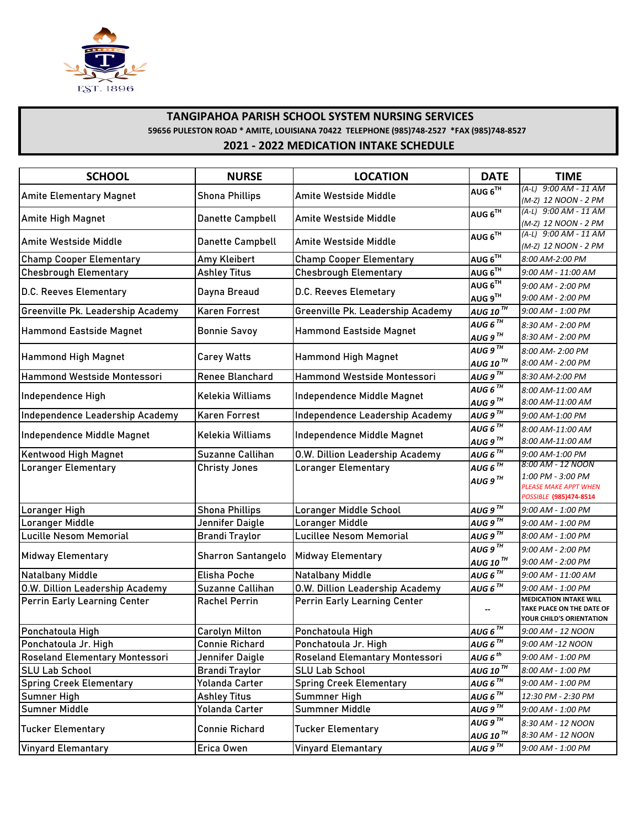

## **TANGIPAHOA PARISH SCHOOL SYSTEM NURSING SERVICES 59656 PULESTON ROAD \* AMITE, LOUISIANA 70422 TELEPHONE (985)748-2527 \*FAX (985)748-8527 2021 - 2022 MEDICATION INTAKE SCHEDULE**

| <b>SCHOOL</b>                         | <b>NURSE</b>              | <b>LOCATION</b>                        | <b>DATE</b>                                   | <b>TIME</b>                                                                               |
|---------------------------------------|---------------------------|----------------------------------------|-----------------------------------------------|-------------------------------------------------------------------------------------------|
| <b>Amite Elementary Magnet</b>        | <b>Shona Phillips</b>     | Amite Westside Middle                  | AUG 6TH                                       | (A-L) 9:00 AM - 11 AM<br>(M-Z) 12 NOON - 2 PM                                             |
| Amite High Magnet                     | Danette Campbell          | Amite Westside Middle                  | AUG $6^{TH}$                                  | $(A-L)$ 9:00 AM - 11 AM<br>(M-Z) 12 NOON - 2 PM                                           |
| Amite Westside Middle                 | Danette Campbell          | Amite Westside Middle                  | AUG $6^{\overline{1}\overline{1}}$            | $(A-L)$ 9:00 AM - 11 AM<br>(M-Z) 12 NOON - 2 PM                                           |
| <b>Champ Cooper Elementary</b>        | Amy Kleibert              | <b>Champ Cooper Elementary</b>         | AUG $6^{TH}$                                  | 8:00 AM-2:00 PM                                                                           |
| <b>Chesbrough Elementary</b>          | <b>Ashley Titus</b>       | <b>Chesbrough Elementary</b>           | AUG $6^{TH}$                                  | 9:00 AM - 11:00 AM                                                                        |
| D.C. Reeves Elementary                | Dayna Breaud              | D.C. Reeves Elemetary                  | AUG $6^{TH}$<br>AUG 9TH                       | 9:00 AM - 2:00 PM<br>9:00 AM - 2:00 PM                                                    |
| Greenville Pk. Leadership Academy     | Karen Forrest             | Greenville Pk. Leadership Academy      | AUG 10TH                                      | 9:00 AM - 1:00 PM                                                                         |
| Hammond Eastside Magnet               | <b>Bonnie Savoy</b>       | <b>Hammond Eastside Magnet</b>         | AUG 6 $^{\text{\tiny{TH}}}$<br>AUG 9 $^{7H}$  | 8:30 AM - 2:00 PM<br>8:30 AM - 2:00 PM                                                    |
| Hammond High Magnet                   | <b>Carey Watts</b>        | <b>Hammond High Magnet</b>             | AUG 9 $^{TH}$<br>AUG 10TH                     | 8:00 AM-2:00 PM<br>8:00 AM - 2:00 PM                                                      |
| <b>Hammond Westside Montessori</b>    | Renee Blanchard           | Hammond Westside Montessori            | AUG 9 $^{TH}$                                 | 8:30 AM-2:00 PM                                                                           |
| Independence High                     | Kelekia Williams          | Independence Middle Magnet             | AUG $6^{TH}$<br>AUG 9 $^{TH}$                 | 8:00 AM-11:00 AM<br>8:00 AM-11:00 AM                                                      |
| Independence Leadership Academy       | <b>Karen Forrest</b>      | Independence Leadership Academy        | AUG $9^{\overline{1H}}$                       | 9:00 AM-1:00 PM                                                                           |
|                                       |                           |                                        | AUG 6 $\overline{H}$                          | 8:00 AM-11:00 AM                                                                          |
| Independence Middle Magnet            | <b>Kelekia Williams</b>   | Independence Middle Magnet             | AUG 9 $^{7H}$                                 | 8:00 AM-11:00 AM                                                                          |
| <b>Kentwood High Magnet</b>           | Suzanne Callihan          | <b>0.W. Dillion Leadership Academy</b> | $AUGB^{\overline{TH}}$                        | 9:00 AM-1:00 PM                                                                           |
| <b>Loranger Elementary</b>            | <b>Christy Jones</b>      | Loranger Elementary                    | AUG 6 $^{TH}$<br>AUG $9^{TH}$                 | 8:00 AM - 12 NOON<br>1:00 PM - 3:00 PM<br>PLEASE MAKE APPT WHEN<br>POSSIBLE (985)474-8514 |
| Loranger High                         | <b>Shona Phillips</b>     | Loranger Middle School                 | AUG $9^{TH}$                                  | 9:00 AM - 1:00 PM                                                                         |
| Loranger Middle                       | Jennifer Daigle           | Loranger Middle                        | AUG $9^{\overline{1H}}$                       | 9:00 AM - 1:00 PM                                                                         |
| Lucille Nesom Memorial                | <b>Brandi Traylor</b>     | <b>Lucillee Nesom Memorial</b>         | AUG $9^{7H}$                                  | 8:00 AM - 1:00 PM                                                                         |
| <b>Midway Elementary</b>              | <b>Sharron Santangelo</b> | <b>Midway Elementary</b>               | AUG 9 $^{TH}$<br>AUG 10 $^{\text{\tiny{TH}}}$ | 9:00 AM - 2:00 PM<br>9:00 AM - 2:00 PM                                                    |
| <b>Natalbany Middle</b>               | Elisha Poche              | <b>Natalbany Middle</b>                | AUG 6 $^{7H}$                                 | 9:00 AM - 11:00 AM                                                                        |
| O.W. Dillion Leadership Academy       | Suzanne Callihan          | <b>0.W. Dillion Leadership Academy</b> | AUG 6 $^{TH}$                                 | 9:00 AM - 1:00 PM                                                                         |
| Perrin Early Learning Center          | <b>Rachel Perrin</b>      | <b>Perrin Early Learning Center</b>    |                                               | <b>MEDICATION INTAKE WILL</b><br>TAKE PLACE ON THE DATE OF<br>YOUR CHILD'S ORIENTATION    |
| Ponchatoula High                      | <b>Carolyn Milton</b>     | Ponchatoula High                       | AUG $6^{th}$                                  | 9:00 AM - 12 NOON                                                                         |
| Ponchatoula Jr. High                  | <b>Connie Richard</b>     | Ponchatoula Jr. High                   | AUG 6 $\overline{h}$                          | 9:00 AM -12 NOON                                                                          |
| <b>Roseland Elementary Montessori</b> | Jennifer Daigle           | Roseland Elemantary Montessori         | AUG $6^{th}$                                  | 9:00 AM - 1:00 PM                                                                         |
| <b>SLU Lab School</b>                 | <b>Brandi Traylor</b>     | <b>SLU Lab School</b>                  | AUG 10 $^{TH}$                                | 8:00 AM - 1:00 PM                                                                         |
| <b>Spring Creek Elementary</b>        | Yolanda Carter            | <b>Spring Creek Elementary</b>         | AUG 6 $^{\mathrm{TH}}$                        | 9:00 AM - 1:00 PM                                                                         |
| Sumner High                           | <b>Ashley Titus</b>       | Summner High                           | AUG 6 $^{TH}$                                 | 12:30 PM - 2:30 PM                                                                        |
| Sumner Middle                         | Yolanda Carter            | Summner Middle                         | AUG $9^{TH}$                                  | 9:00 AM - 1:00 PM                                                                         |
| Tucker Elementary                     | <b>Connie Richard</b>     | <b>Tucker Elementary</b>               | AUG $9^{TH}$<br>AUG 10 $^{\text{\tiny{TH}}}$  | 8:30 AM - 12 NOON<br>8:30 AM - 12 NOON                                                    |
| <b>Vinyard Elemantary</b>             | Erica Owen                | <b>Vinyard Elemantary</b>              | AUG 9 $^{\mathrm{TH}}$                        | 9:00 AM - 1:00 PM                                                                         |